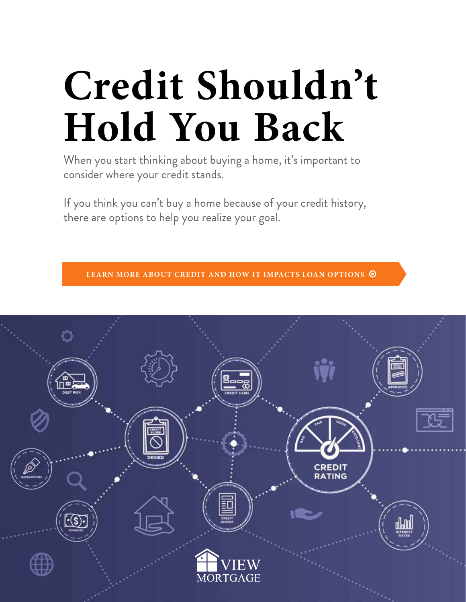# **Credit Shouldn't Hold You Back**

When you start thinking about buying a home, it's important to consider where your credit stands.

If you think you can't buy a home because of your credit history, there are options to help you realize your goal.

**LEARN MORE ABOUT CREDIT AND HOW IT IMPACTS LOAN OPTIONS** 

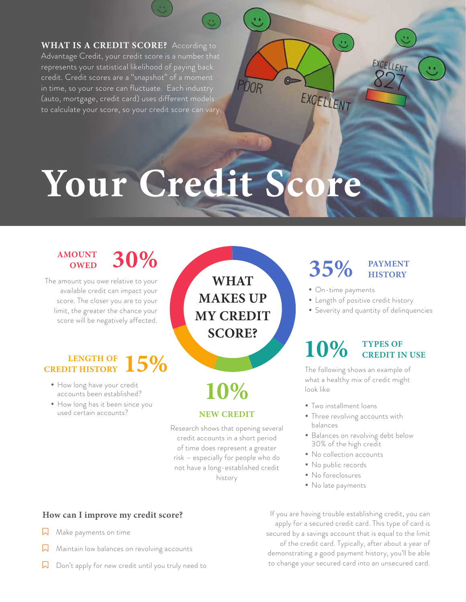**WHAT IS A CREDIT SCORE?** According to Advantage Credit, your credit score is a number that represents your statistical likelihood of paying back credit. Credit scores are a "snapshot" of a moment in time, so your score can fluctuate. Each industry (auto, mortgage, credit card) uses different models to calculate your score, so your credit score can vary.

## **Your Credit Score**

#### **AMOUNT OWED**

The amount you owe relative to your available credit can impact your score. The closer you are to your limit, the greater the chance your score will be negatively affected.

#### **15% CREDIT HISTORY**

- How long have your credit accounts been established?
- How long has it been since you used certain accounts?

**WHAT MAKES UP MY CREDIT SCORE?**

### **10%**

#### **NEW CREDIT**

Research shows that opening several credit accounts in a short period of time does represent a greater risk – especially for people who do not have a long-established credit history

#### **30% 35% PAYMENT HISTORY**

• On-time payments

 $\circ$ 

EXCELLENT

00R

- Length of positive credit history
- Severity and quantity of delinquencies

EXCELLENT

#### **10% TYPES OF CREDIT IN USE**

The following shows an example of what a healthy mix of credit might look like

- Two installment loans
- Three revolving accounts with balances
- Balances on revolving debt below 30% of the high credit
- No collection accounts
- No public records
- No foreclosures
- No late payments

**How can I improve my credit score?**

- $\lambda$  Make payments on time
- $\overline{\mathsf{N}}$  Maintain low balances on revolving accounts
- $\sqrt{2}$  Don't apply for new credit until you truly need to

If you are having trouble establishing credit, you can apply for a secured credit card. This type of card is secured by a savings account that is equal to the limit of the credit card. Typically, after about a year of demonstrating a good payment history, you'll be able to change your secured card into an unsecured card.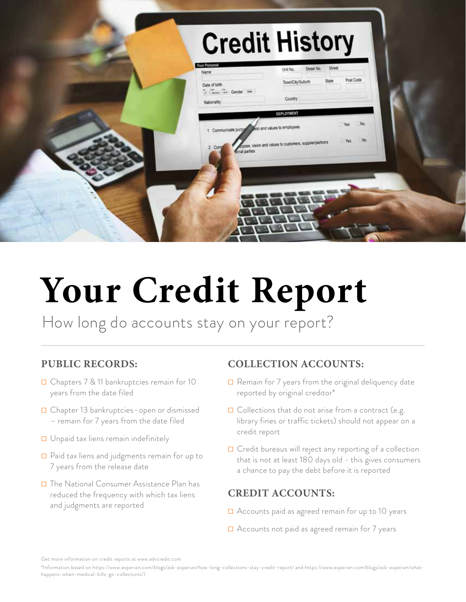| <b>Credit History</b>                                                                                                                                                  |                                                                                                                                                                                            |  |
|------------------------------------------------------------------------------------------------------------------------------------------------------------------------|--------------------------------------------------------------------------------------------------------------------------------------------------------------------------------------------|--|
| Your Personal<br>Name<br>Date of birth<br>It - Javay - Im - Gender - Man<br>Nationality<br>1 Communicate purpose and values to employees<br>Com<br><b>Emal</b> parties | Street<br>Street No.<br>Unit No.<br>Post Code<br>State<br>Town/City/Suburb<br>Country<br>DEPLOYMENT<br>No.<br>Yes<br>NQ<br>Yes<br>spose, vision and values to customers, supplier/partners |  |
|                                                                                                                                                                        |                                                                                                                                                                                            |  |

### **Your Credit Report**

How long do accounts stay on your report?

#### **PUBLIC RECORDS:**

- ☐ Chapters 7 & 11 bankruptcies remain for 10 years from the date filed
- ☐ Chapter 13 bankruptcies–open or dismissed – remain for 7 years from the date filed
- ☐ Unpaid tax liens remain indefinitely
- ☐ Paid tax liens and judgments remain for up to 7 years from the release date
- ☐ The National Consumer Assistance Plan has reduced the frequency with which tax liens and judgments are reported

#### **COLLECTION ACCOUNTS:**

- **□** Remain for 7 years from the original deliquency date reported by original creditor\*
- **□** Collections that do not arise from a contract (e.g. library fines or traffic tickets) should not appear on a credit report
- ☐ Credit bureaus will reject any reporting of a collection that is not at least 180 days old - this gives consumers a chance to pay the debt before it is reported

#### **CREDIT ACCOUNTS:**

- ☐ Accounts paid as agreed remain for up to 10 years
- ☐ Accounts not paid as agreed remain for 7 years

Get more information on credit reports at www.advcredit.com

<sup>\*</sup>Information based on https://www.experian.com/blogs/ask-experian/how-long-collections-stay-credit-report/ and https://www.experian.com/blogs/ask-experian/whathappens-when-medical-bills-go-collections/)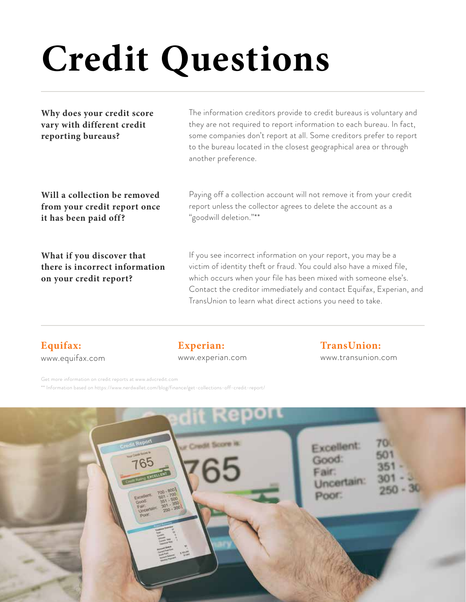# **Credit Questions**

**Why does your credit score vary with different credit reporting bureaus?**

The information creditors provide to credit bureaus is voluntary and they are not required to report information to each bureau. In fact, some companies don't report at all. Some creditors prefer to report to the bureau located in the closest geographical area or through another preference.

**Will a collection be removed from your credit report once it has been paid off?**

**What if you discover that there is incorrect information on your credit report?**

Paying off a collection account will not remove it from your credit report unless the collector agrees to delete the account as a "goodwill deletion."\*\*

If you see incorrect information on your report, you may be a victim of identity theft or fraud. You could also have a mixed file, which occurs when your file has been mixed with someone else's. Contact the creditor immediately and contact Equifax, Experian, and TransUnion to learn what direct actions you need to take.

#### **Equifax:** www.equifax.com

#### **Experian:**

#### www.experian.com

#### **TransUnion:**

www.transunion.com

Get more information on credit reports at www.advcredit.com \*\* Information based on https://www.nerdwallet.com/blog/finance/get-collections-off-credit-report/

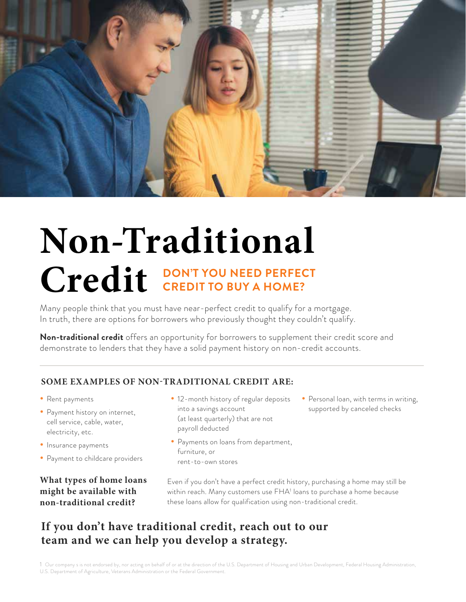

### **Non-Traditional**  Credit CREDIT TO BUY A HOME? **CREDIT TO BUY A HOME?**

Many people think that you must have near-perfect credit to qualify for a mortgage. In truth, there are options for borrowers who previously thought they couldn't qualify.

**Non-traditional credit** offers an opportunity for borrowers to supplement their credit score and demonstrate to lenders that they have a solid payment history on non-credit accounts.

#### **SOME EXAMPLES OF NON-TRADITIONAL CREDIT ARE:**

- Rent payments
- Payment history on internet, cell service, cable, water, electricity, etc.
- Insurance payments
- Payment to childcare providers

#### **What types of home loans might be available with non-traditional credit?**

- 12-month history of regular deposits into a savings account (at least quarterly) that are not payroll deducted
- Payments on loans from department, furniture, or rent-to-own stores
- Personal loan, with terms in writing, supported by canceled checks

Even if you don't have a perfect credit history, purchasing a home may still be within reach. Many customers use FHA<sup>1</sup> loans to purchase a home because these loans allow for qualification using non-traditional credit.

#### **If you don't have traditional credit, reach out to our team and we can help you develop a strategy.**

1 Our company s is not endorsed by, nor acting on behalf of or at the direction of the U.S. Department of Housing and Urban Development, Federal Housing Administration, U.S. Department of Agriculture, Veterans Administration or the Federal Government.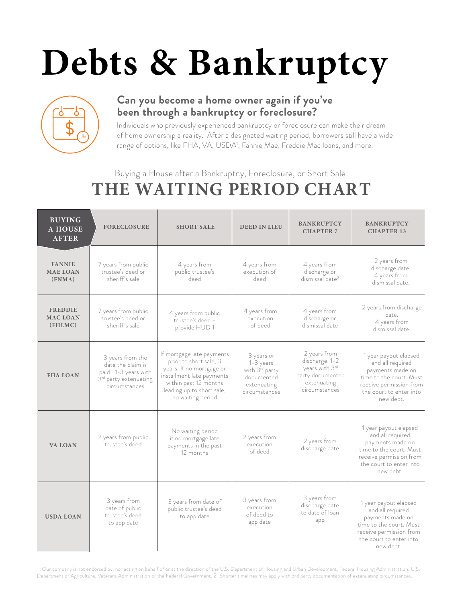# **Debts & Bankruptcy**



#### **Can you become a home owner again if you've been through a bankruptcy or foreclosure?**

Individuals who previously experienced bankruptcy or foreclosure can make their dream of home ownership a reality. After a designated waiting period, borrowers still have a wide range of options, like FHA, VA, USDA<sup>1</sup>, Fannie Mae, Freddie Mac Ioans, and more.

#### Buying a House after a Bankruptcy, Foreclosure, or Short Sale: **THE WAITING PERIOD CHART**

| <b>BUYING</b><br><b>A HOUSE</b><br><b>AFTER</b> | <b>FORECLOSURE</b>                                                                                                  | <b>SHORT SALE</b>                                                                                                                                                                       | <b>DEED IN LIEU</b>                                                                                 | <b>BANKRUPTCY</b><br><b>CHAPTER 7</b>                                                                | <b>BANKRUPTCY</b><br><b>CHAPTER 13</b>                                                                                                                      |
|-------------------------------------------------|---------------------------------------------------------------------------------------------------------------------|-----------------------------------------------------------------------------------------------------------------------------------------------------------------------------------------|-----------------------------------------------------------------------------------------------------|------------------------------------------------------------------------------------------------------|-------------------------------------------------------------------------------------------------------------------------------------------------------------|
| <b>FANNIE</b><br><b>MAE LOAN</b><br>(FNMA)      | 7 years from public<br>trustee's deed or<br>sheriff's sale                                                          | 4 years from<br>public trustee's<br>deed                                                                                                                                                | 4 years from<br>execution of<br>deed                                                                | 4 years from<br>discharge or<br>dismissal date <sup>2</sup>                                          | 2 years from<br>discharge date.<br>4 years from<br>dismissal date.                                                                                          |
| <b>FREDDIE</b><br><b>MAC LOAN</b><br>(FHLMC)    | 7 years from public<br>trustee's deed or<br>sheriff's sale                                                          | 4 years from public<br>trustee's deed -<br>provide HUD1                                                                                                                                 | 4 years from<br>execution<br>of deed                                                                | 4 years from<br>discharge or<br>dismissal date                                                       | 2 years from discharge<br>date.<br>4 years from<br>dismissal date.                                                                                          |
| <b>FHA LOAN</b>                                 | 3 years from the<br>date the claim is<br>paid; 1-3 years with<br>3 <sup>rd</sup> party extenuating<br>circumstances | If mortgage late payments<br>prior to short sale, 3<br>years. If no mortgage or<br>installment late payments<br>within past 12 months<br>leading up to short sale,<br>no waiting period | 3 years or<br>1-3 years<br>with 3 <sup>rd</sup> party<br>documented<br>extenuating<br>circumstances | 2 years from<br>discharge, 1-2<br>years with 3rd<br>party documented<br>extenuating<br>circumstances | 1 year payout elapsed<br>and all required<br>payments made on<br>time to the court. Must<br>receive permission from<br>the court to enter into<br>new debt. |
| <b>VA LOAN</b>                                  | 2 years from public<br>trustee's deed                                                                               | No waiting period<br>if no mortgage late<br>payments in the past<br>12 months                                                                                                           | 2 years from<br>execution<br>of deed                                                                | 2 years from<br>discharge date                                                                       | 1 year payout elapsed<br>and all required<br>payments made on<br>time to the court. Must<br>receive permission from<br>the court to enter into<br>new debt. |
| <b>USDA LOAN</b>                                | 3 years from<br>date of public<br>trustee's deed<br>to app date                                                     | 3 years from date of<br>public trustee's deed<br>to app date                                                                                                                            | 3 years from<br>execution<br>of deed to<br>app date                                                 | 3 years from<br>discharge date<br>to date of loan<br>app                                             | 1 year payout elapsed<br>and all required<br>payments made on<br>time to the court. Must<br>receive permission from<br>the court to enter into<br>new debt. |

1 Our company is not endorsed by, nor acting on behalf of or at the direction of the U.S. Department of Housing and Urban Development, Federal Housing Administration, U.S. Department of Agriculture, Veterans Administration or the Federal Government. 2 Shorter timelines may apply with 3rd party documentation of extenuating circumstances.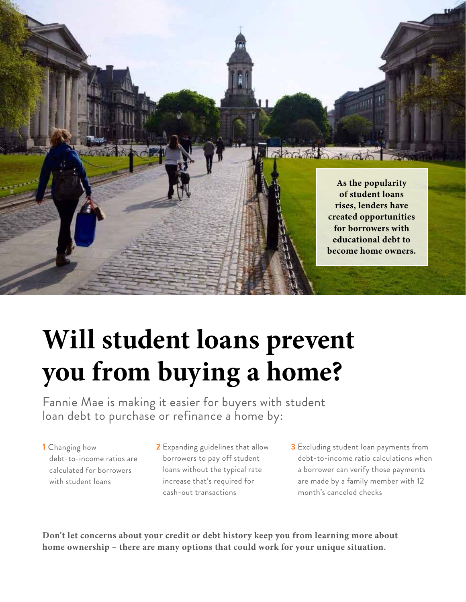

### **Will student loans prevent you from buying a home?**

Fannie Mae is making it easier for buyers with student loan debt to purchase or refinance a home by:

**1** Changing how debt-to-income ratios are calculated for borrowers with student loans

**2** Expanding guidelines that allow borrowers to pay off student loans without the typical rate increase that's required for cash-out transactions

**3** Excluding student loan payments from debt-to-income ratio calculations when a borrower can verify those payments are made by a family member with 12 month's canceled checks

**Don't let concerns about your credit or debt history keep you from learning more about home ownership – there are many options that could work for your unique situation.**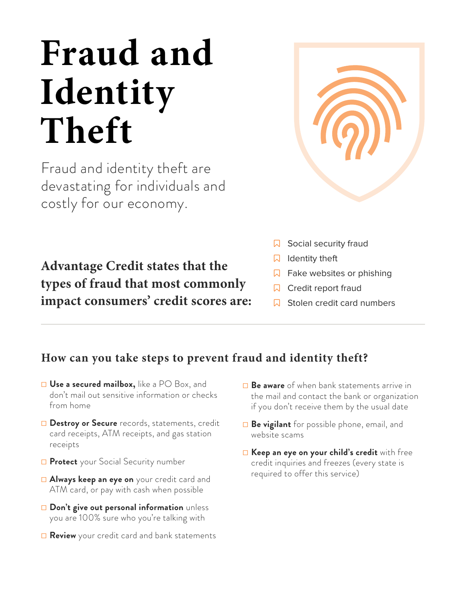### **Fraud and Identity Theft**

Fraud and identity theft are devastating for individuals and costly for our economy.

**Advantage Credit states that the types of fraud that most commonly impact consumers' credit scores are:**



- $\sqrt{a}$  Social security fraud
- $\Box$  Identity theft
- $\overline{\mathsf{Q}}$  Fake websites or phishing
- $\Box$  Credit report fraud
- Stolen credit card numbers

#### **How can you take steps to prevent fraud and identity theft?**

- ☐ **Use a secured mailbox,** like a PO Box, and don't mail out sensitive information or checks from home
- ☐ **Destroy or Secure** records, statements, credit card receipts, ATM receipts, and gas station receipts
- ☐ **Protect** your Social Security number
- ☐ **Always keep an eye on** your credit card and ATM card, or pay with cash when possible
- ☐ **Don't give out personal information** unless you are 100% sure who you're talking with
- **□ Review** your credit card and bank statements
- ☐ **Be aware** of when bank statements arrive in the mail and contact the bank or organization if you don't receive them by the usual date
- ☐ **Be vigilant** for possible phone, email, and website scams
- ☐ **Keep an eye on your child's credit** with free credit inquiries and freezes (every state is required to offer this service)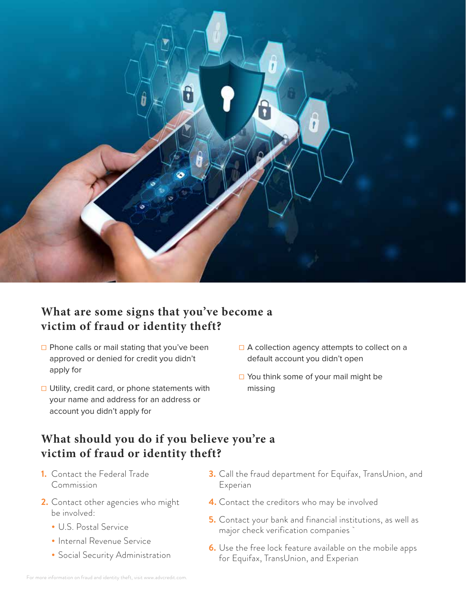

#### **What are some signs that you've become a victim of fraud or identity theft?**

- □ Phone calls or mail stating that you've been approved or denied for credit you didn't apply for
- **□ Utility, credit card, or phone statements with** your name and address for an address or account you didn't apply for
- □ A collection agency attempts to collect on a default account you didn't open
- ☐ You think some of your mail might be missing

#### **What should you do if you believe you're a victim of fraud or identity theft?**

- **1.** Contact the Federal Trade Commission
- **2.** Contact other agencies who might be involved:
	- U.S. Postal Service
	- Internal Revenue Service
	- Social Security Administration
- **3.** Call the fraud department for Equifax, TransUnion, and Experian
- **4.** Contact the creditors who may be involved
- **5.** Contact your bank and financial institutions, as well as major check verification companies `
- **6.** Use the free lock feature available on the mobile apps for Equifax, TransUnion, and Experian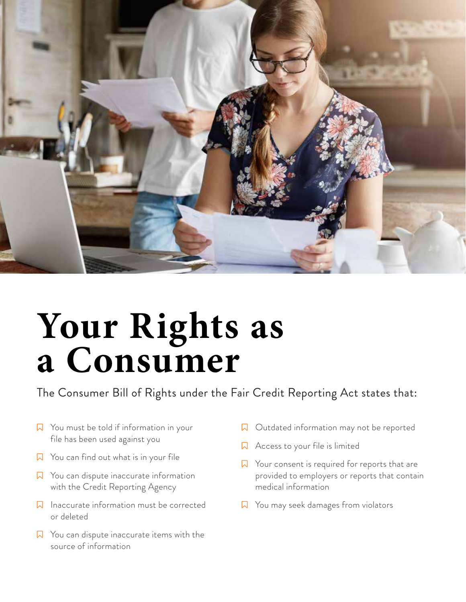

### **Your Rights as a Consumer**

The Consumer Bill of Rights under the Fair Credit Reporting Act states that:

- $\sqrt{2}$  You must be told if information in your file has been used against you
- $\sqrt{2}$  You can find out what is in your file
- $\sqrt{2}$  You can dispute inaccurate information with the Credit Reporting Agency
- $\sqrt{2}$  Inaccurate information must be corrected or deleted
- $\sqrt{2}$  You can dispute inaccurate items with the source of information
- $\Box$  Outdated information may not be reported
- $\Box$  Access to your file is limited
- $\sqrt{2}$  Your consent is required for reports that are provided to employers or reports that contain medical information
- $\nabla$  You may seek damages from violators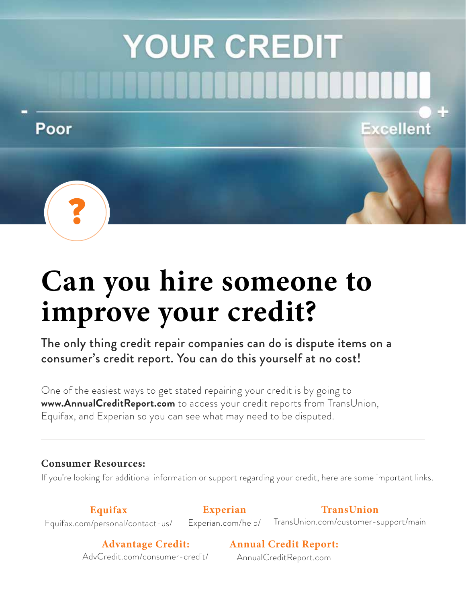# **YOUR CREDIT**

#### Poor





### **Can you hire someone to improve your credit?**

The only thing credit repair companies can do is dispute items on a consumer's credit report. You can do this yourself at no cost!

One of the easiest ways to get stated repairing your credit is by going to **www.AnnualCreditReport.com** to access your credit reports from TransUnion, Equifax, and Experian so you can see what may need to be disputed.

#### **Consumer Resources:**

If you're looking for additional information or support regarding your credit, here are some important links.

**Equifax** Equifax.com/personal/contact-us/

**Experian**  Experian.com/help/

**TransUnion** TransUnion.com/customer-support/main

**Excellent** 

**Advantage Credit:**  AdvCredit.com/consumer-credit/ **Annual Credit Report:**

AnnualCreditReport.com